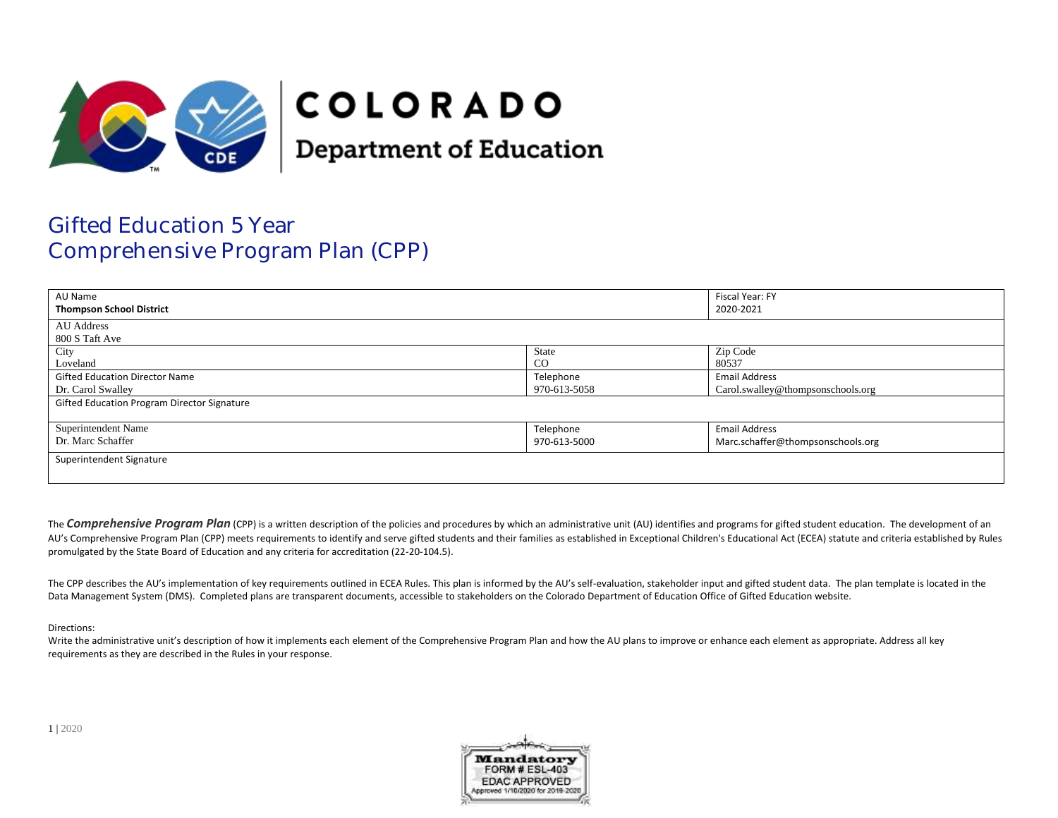

# **COLORADO**

**Department of Education** 

# Gifted Education 5 Year Comprehensive Program Plan (CPP)

| AU Name                                     |                                   |  |
|---------------------------------------------|-----------------------------------|--|
| <b>Thompson School District</b>             |                                   |  |
|                                             |                                   |  |
|                                             |                                   |  |
| State                                       | Zip Code                          |  |
| CO                                          | 80537                             |  |
| Telephone                                   | <b>Email Address</b>              |  |
| 970-613-5058                                | Carol.swalley@thompsonschools.org |  |
| Gifted Education Program Director Signature |                                   |  |
|                                             |                                   |  |
| Telephone                                   | <b>Email Address</b>              |  |
| 970-613-5000                                | Marc.schaffer@thompsonschools.org |  |
| Superintendent Signature                    |                                   |  |
|                                             |                                   |  |
|                                             |                                   |  |

The **Comprehensive Program Plan** (CPP) is a written description of the policies and procedures by which an administrative unit (AU) identifies and programs for gifted student education. The development of an AU's Comprehensive Program Plan (CPP) meets requirements to identify and serve gifted students and their families as established in Exceptional Children's Educational Act (ECEA) statute and criteria established by Rules promulgated by the State Board of Education and any criteria for accreditation (22-20-104.5).

The CPP describes the AU's implementation of key requirements outlined in ECEA Rules. This plan is informed by the AU's self-evaluation, stakeholder input and gifted student data. The plan template is located in the Data Management System (DMS). Completed plans are transparent documents, accessible to stakeholders on the Colorado Department of Education Office of Gifted Education website.

#### Directions:

Write the administrative unit's description of how it implements each element of the Comprehensive Program Plan and how the AU plans to improve or enhance each element as appropriate. Address all key requirements as they are described in the Rules in your response.

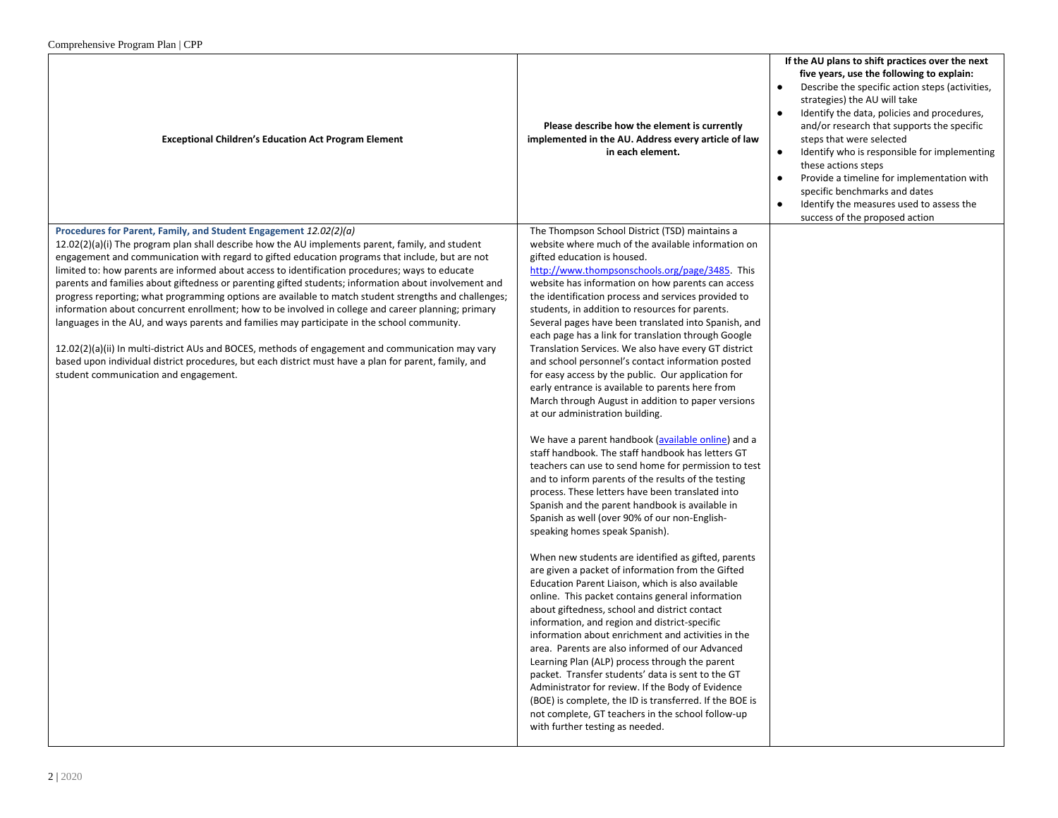| Comprenensive Program Pian   CPP                                                                                                                                                                                                                                                                                                                                                                                                                                                                                                                                                                                                                                                                                                                                                                                                                                                                                                                                                                                                                             |                                                                                                                                                                                                                                                                                                                                                                                                                                                                                                                                                                                                                                                                                                                                                                                                                                                                                                                                                                                                                                                                                                                                                                                                                                                                                                                                                                                                                                                                                                                                                                                                                                                                                                                                                                                                                                                                                                                                                        | If the AU plans to shift practices over the next                                                                                                                                                                                                                                                                                                                                                                                                                                                                                 |
|--------------------------------------------------------------------------------------------------------------------------------------------------------------------------------------------------------------------------------------------------------------------------------------------------------------------------------------------------------------------------------------------------------------------------------------------------------------------------------------------------------------------------------------------------------------------------------------------------------------------------------------------------------------------------------------------------------------------------------------------------------------------------------------------------------------------------------------------------------------------------------------------------------------------------------------------------------------------------------------------------------------------------------------------------------------|--------------------------------------------------------------------------------------------------------------------------------------------------------------------------------------------------------------------------------------------------------------------------------------------------------------------------------------------------------------------------------------------------------------------------------------------------------------------------------------------------------------------------------------------------------------------------------------------------------------------------------------------------------------------------------------------------------------------------------------------------------------------------------------------------------------------------------------------------------------------------------------------------------------------------------------------------------------------------------------------------------------------------------------------------------------------------------------------------------------------------------------------------------------------------------------------------------------------------------------------------------------------------------------------------------------------------------------------------------------------------------------------------------------------------------------------------------------------------------------------------------------------------------------------------------------------------------------------------------------------------------------------------------------------------------------------------------------------------------------------------------------------------------------------------------------------------------------------------------------------------------------------------------------------------------------------------------|----------------------------------------------------------------------------------------------------------------------------------------------------------------------------------------------------------------------------------------------------------------------------------------------------------------------------------------------------------------------------------------------------------------------------------------------------------------------------------------------------------------------------------|
| <b>Exceptional Children's Education Act Program Element</b>                                                                                                                                                                                                                                                                                                                                                                                                                                                                                                                                                                                                                                                                                                                                                                                                                                                                                                                                                                                                  | Please describe how the element is currently<br>implemented in the AU. Address every article of law<br>in each element.                                                                                                                                                                                                                                                                                                                                                                                                                                                                                                                                                                                                                                                                                                                                                                                                                                                                                                                                                                                                                                                                                                                                                                                                                                                                                                                                                                                                                                                                                                                                                                                                                                                                                                                                                                                                                                | five years, use the following to explain:<br>Describe the specific action steps (activities,<br>strategies) the AU will take<br>Identify the data, policies and procedures,<br>and/or research that supports the specific<br>steps that were selected<br>$\bullet$<br>Identify who is responsible for implementing<br>these actions steps<br>Provide a timeline for implementation with<br>$\bullet$<br>specific benchmarks and dates<br>Identify the measures used to assess the<br>$\bullet$<br>success of the proposed action |
| Procedures for Parent, Family, and Student Engagement 12.02(2)(a)<br>$12.02(2)(a)(i)$ The program plan shall describe how the AU implements parent, family, and student<br>engagement and communication with regard to gifted education programs that include, but are not<br>limited to: how parents are informed about access to identification procedures; ways to educate<br>parents and families about giftedness or parenting gifted students; information about involvement and<br>progress reporting; what programming options are available to match student strengths and challenges;<br>information about concurrent enrollment; how to be involved in college and career planning; primary<br>languages in the AU, and ways parents and families may participate in the school community.<br>12.02(2)(a)(ii) In multi-district AUs and BOCES, methods of engagement and communication may vary<br>based upon individual district procedures, but each district must have a plan for parent, family, and<br>student communication and engagement. | The Thompson School District (TSD) maintains a<br>website where much of the available information on<br>gifted education is housed.<br>http://www.thompsonschools.org/page/3485. This<br>website has information on how parents can access<br>the identification process and services provided to<br>students, in addition to resources for parents.<br>Several pages have been translated into Spanish, and<br>each page has a link for translation through Google<br>Translation Services. We also have every GT district<br>and school personnel's contact information posted<br>for easy access by the public. Our application for<br>early entrance is available to parents here from<br>March through August in addition to paper versions<br>at our administration building.<br>We have a parent handbook (available online) and a<br>staff handbook. The staff handbook has letters GT<br>teachers can use to send home for permission to test<br>and to inform parents of the results of the testing<br>process. These letters have been translated into<br>Spanish and the parent handbook is available in<br>Spanish as well (over 90% of our non-English-<br>speaking homes speak Spanish).<br>When new students are identified as gifted, parents<br>are given a packet of information from the Gifted<br>Education Parent Liaison, which is also available<br>online. This packet contains general information<br>about giftedness, school and district contact<br>information, and region and district-specific<br>information about enrichment and activities in the<br>area. Parents are also informed of our Advanced<br>Learning Plan (ALP) process through the parent<br>packet. Transfer students' data is sent to the GT<br>Administrator for review. If the Body of Evidence<br>(BOE) is complete, the ID is transferred. If the BOE is<br>not complete, GT teachers in the school follow-up<br>with further testing as needed. |                                                                                                                                                                                                                                                                                                                                                                                                                                                                                                                                  |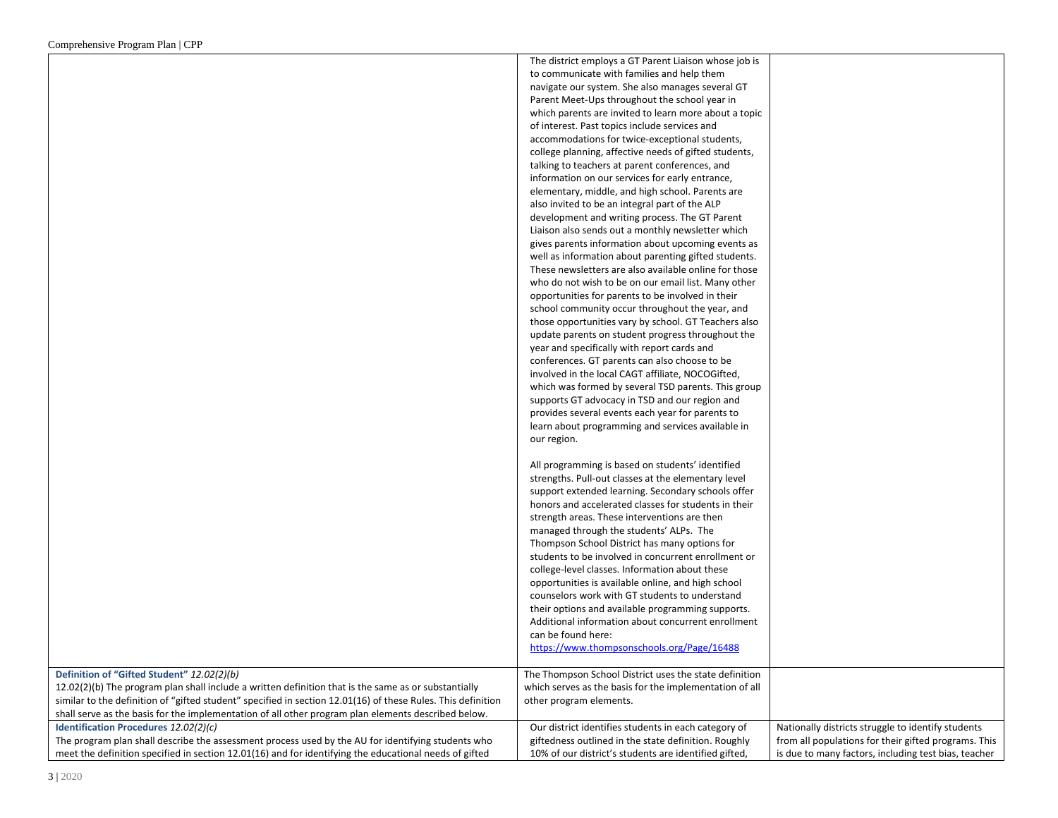|                                                                                                              | The district employs a GT Parent Liaison whose job is                                                   |                                                      |
|--------------------------------------------------------------------------------------------------------------|---------------------------------------------------------------------------------------------------------|------------------------------------------------------|
|                                                                                                              | to communicate with families and help them                                                              |                                                      |
|                                                                                                              | navigate our system. She also manages several GT                                                        |                                                      |
|                                                                                                              | Parent Meet-Ups throughout the school year in                                                           |                                                      |
|                                                                                                              | which parents are invited to learn more about a topic                                                   |                                                      |
|                                                                                                              | of interest. Past topics include services and                                                           |                                                      |
|                                                                                                              | accommodations for twice-exceptional students,                                                          |                                                      |
|                                                                                                              | college planning, affective needs of gifted students,                                                   |                                                      |
|                                                                                                              | talking to teachers at parent conferences, and                                                          |                                                      |
|                                                                                                              | information on our services for early entrance,                                                         |                                                      |
|                                                                                                              | elementary, middle, and high school. Parents are                                                        |                                                      |
|                                                                                                              | also invited to be an integral part of the ALP                                                          |                                                      |
|                                                                                                              | development and writing process. The GT Parent                                                          |                                                      |
|                                                                                                              | Liaison also sends out a monthly newsletter which                                                       |                                                      |
|                                                                                                              | gives parents information about upcoming events as                                                      |                                                      |
|                                                                                                              | well as information about parenting gifted students.                                                    |                                                      |
|                                                                                                              | These newsletters are also available online for those                                                   |                                                      |
|                                                                                                              | who do not wish to be on our email list. Many other                                                     |                                                      |
|                                                                                                              | opportunities for parents to be involved in their                                                       |                                                      |
|                                                                                                              | school community occur throughout the year, and                                                         |                                                      |
|                                                                                                              | those opportunities vary by school. GT Teachers also                                                    |                                                      |
|                                                                                                              | update parents on student progress throughout the                                                       |                                                      |
|                                                                                                              | year and specifically with report cards and                                                             |                                                      |
|                                                                                                              | conferences. GT parents can also choose to be                                                           |                                                      |
|                                                                                                              | involved in the local CAGT affiliate, NOCOGifted,                                                       |                                                      |
|                                                                                                              | which was formed by several TSD parents. This group                                                     |                                                      |
|                                                                                                              | supports GT advocacy in TSD and our region and                                                          |                                                      |
|                                                                                                              | provides several events each year for parents to                                                        |                                                      |
|                                                                                                              | learn about programming and services available in                                                       |                                                      |
|                                                                                                              | our region.                                                                                             |                                                      |
|                                                                                                              |                                                                                                         |                                                      |
|                                                                                                              | All programming is based on students' identified                                                        |                                                      |
|                                                                                                              | strengths. Pull-out classes at the elementary level                                                     |                                                      |
|                                                                                                              | support extended learning. Secondary schools offer                                                      |                                                      |
|                                                                                                              | honors and accelerated classes for students in their                                                    |                                                      |
|                                                                                                              | strength areas. These interventions are then                                                            |                                                      |
|                                                                                                              | managed through the students' ALPs. The                                                                 |                                                      |
|                                                                                                              | Thompson School District has many options for                                                           |                                                      |
|                                                                                                              | students to be involved in concurrent enrollment or                                                     |                                                      |
|                                                                                                              | college-level classes. Information about these                                                          |                                                      |
|                                                                                                              | opportunities is available online, and high school<br>counselors work with GT students to understand    |                                                      |
|                                                                                                              |                                                                                                         |                                                      |
|                                                                                                              | their options and available programming supports.<br>Additional information about concurrent enrollment |                                                      |
|                                                                                                              | can be found here:                                                                                      |                                                      |
|                                                                                                              | https://www.thompsonschools.org/Page/16488                                                              |                                                      |
|                                                                                                              |                                                                                                         |                                                      |
| Definition of "Gifted Student" 12.02(2)(b)                                                                   | The Thompson School District uses the state definition                                                  |                                                      |
| 12.02(2)(b) The program plan shall include a written definition that is the same as or substantially         | which serves as the basis for the implementation of all                                                 |                                                      |
| similar to the definition of "gifted student" specified in section 12.01(16) of these Rules. This definition | other program elements.                                                                                 |                                                      |
| shall serve as the basis for the implementation of all other program plan elements described below.          |                                                                                                         |                                                      |
| Identification Procedures 12.02(2)(c)                                                                        | Our district identifies students in each category of                                                    | Nationally districts struggle to identify students   |
| The program plan shall describe the assessment process used by the AU for identifying students who           | giftedness outlined in the state definition. Roughly                                                    | from all populations for their gifted programs. This |
| meet the definition specified in section 12.01(16) and for identifying the educational needs of gifted       | 10% of our district's students are identified gifted,                                                   | is due to many factors, including test bias, teacher |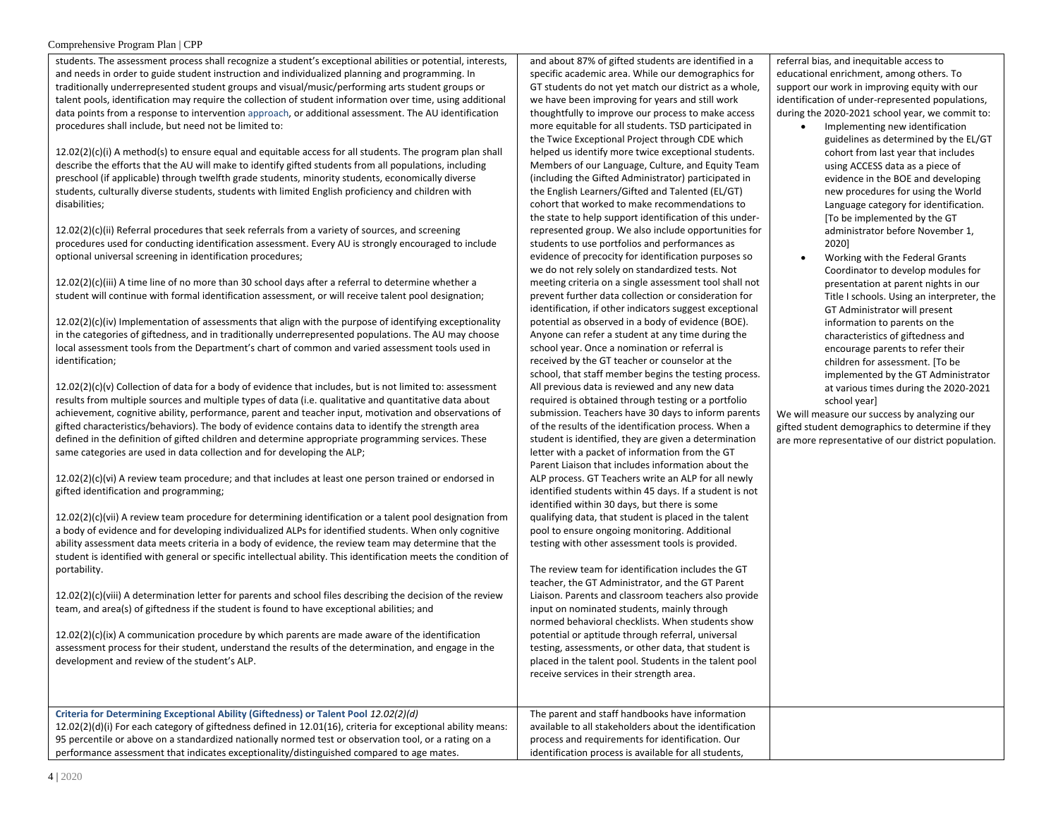students. The assessment process shall recognize a student's exceptional abilities or potential, interests, and needs in order to guide student instruction and individualized planning and programming. In traditionally underrepresented student groups and visual/music/performing arts student groups or talent pools, identification may require the collection of student information over time, using additional data points from a response to intervention approach, or additional assessment. The AU identification procedures shall include, but need not be limited to:

12.02(2)(c)(i) A method(s) to ensure equal and equitable access for all students. The program plan shall describe the efforts that the AU will make to identify gifted students from all populations, including preschool (if applicable) through twelfth grade students, minority students, economically diverse students, culturally diverse students, students with limited English proficiency and children with disabilities;

12.02(2)(c)(ii) Referral procedures that seek referrals from a variety of sources, and screening procedures used for conducting identification assessment. Every AU is strongly encouraged to include optional universal screening in identification procedures;

12.02(2)(c)(iii) A time line of no more than 30 school days after a referral to determine whether a student will continue with formal identification assessment, or will receive talent pool designation;

12.02(2)(c)(iv) Implementation of assessments that align with the purpose of identifying exceptionality in the categories of giftedness, and in traditionally underrepresented populations. The AU may choose local assessment tools from the Department's chart of common and varied assessment tools used in identification;

12.02(2)(c)(v) Collection of data for a body of evidence that includes, but is not limited to: assessment results from multiple sources and multiple types of data (i.e. qualitative and quantitative data about achievement, cognitive ability, performance, parent and teacher input, motivation and observations of gifted characteristics/behaviors). The body of evidence contains data to identify the strength area defined in the definition of gifted children and determine appropriate programming services. These same categories are used in data collection and for developing the ALP;

12.02(2)(c)(vi) A review team procedure; and that includes at least one person trained or endorsed in gifted identification and programming;

12.02(2)(c)(vii) A review team procedure for determining identification or a talent pool designation from a body of evidence and for developing individualized ALPs for identified students. When only cognitive ability assessment data meets criteria in a body of evidence, the review team may determine that the student is identified with general or specific intellectual ability. This identification meets the condition of portability.

12.02(2)(c)(viii) A determination letter for parents and school files describing the decision of the review team, and area(s) of giftedness if the student is found to have exceptional abilities; and

12.02(2)(c)(ix) A communication procedure by which parents are made aware of the identification assessment process for their student, understand the results of the determination, and engage in the development and review of the student's ALP.

and about 87% of gifted students are identified in a specific academic area. While our demographics for GT students do not yet match our district as a whole, we have been improving for years and still work thoughtfully to improve our process to make access more equitable for all students. TSD participated in the Twice Exceptional Project through CDE which helped us identify more twice exceptional students. Members of our Language, Culture, and Equity Team (including the Gifted Administrator) participated in the English Learners/Gifted and Talented (EL/GT) cohort that worked to make recommendations to the state to help support identification of this underrepresented group. We also include opportunities for students to use portfolios and performances as evidence of precocity for identification purposes so we do not rely solely on standardized tests. Not meeting criteria on a single assessment tool shall not prevent further data collection or consideration for identification, if other indicators suggest exceptional potential as observed in a body of evidence (BOE). Anyone can refer a student at any time during the school year. Once a nomination or referral is received by the GT teacher or counselor at the school, that staff member begins the testing process. All previous data is reviewed and any new data required is obtained through testing or a portfolio submission. Teachers have 30 days to inform parents of the results of the identification process. When a student is identified, they are given a determination letter with a packet of information from the GT Parent Liaison that includes information about the ALP process. GT Teachers write an ALP for all newly identified students within 45 days. If a student is not identified within 30 days, but there is some qualifying data, that student is placed in the talent pool to ensure ongoing monitoring. Additional testing with other assessment tools is provided. The review team for identification includes the GT

teacher, the GT Administrator, and the GT Parent Liaison. Parents and classroom teachers also provide input on nominated students, mainly through normed behavioral checklists. When students show potential or aptitude through referral, universal testing, assessments, or other data, that student is placed in the talent pool. Students in the talent pool

receive services in their strength area.

referral bias, and inequitable access to educational enrichment, among others. To support our work in improving equity with our identification of under-represented populations, during the 2020-2021 school year, we commit to:

- Implementing new identification guidelines as determined by the EL/GT cohort from last year that includes using ACCESS data as a piece of evidence in the BOE and developing new procedures for using the World Language category for identification. [To be implemented by the GT administrator before November 1, 2020]
- Working with the Federal Grants Coordinator to develop modules for presentation at parent nights in our Title I schools. Using an interpreter, the GT Administrator will present information to parents on the characteristics of giftedness and encourage parents to refer their children for assessment. [To be implemented by the GT Administrator at various times during the 2020-2021 school year]

We will measure our success by analyzing our gifted student demographics to determine if they are more representative of our district population.

**Criteria for Determining Exceptional Ability (Giftedness) or Talent Pool** *12.02(2)(d)* 12.02(2)(d)(i) For each category of giftedness defined in 12.01(16), criteria for exceptional ability means: 95 percentile or above on a standardized nationally normed test or observation tool, or a rating on a performance assessment that indicates exceptionality/distinguished compared to age mates. The parent and staff handbooks have information available to all stakeholders about the identification process and requirements for identification. Our identification process is available for all students,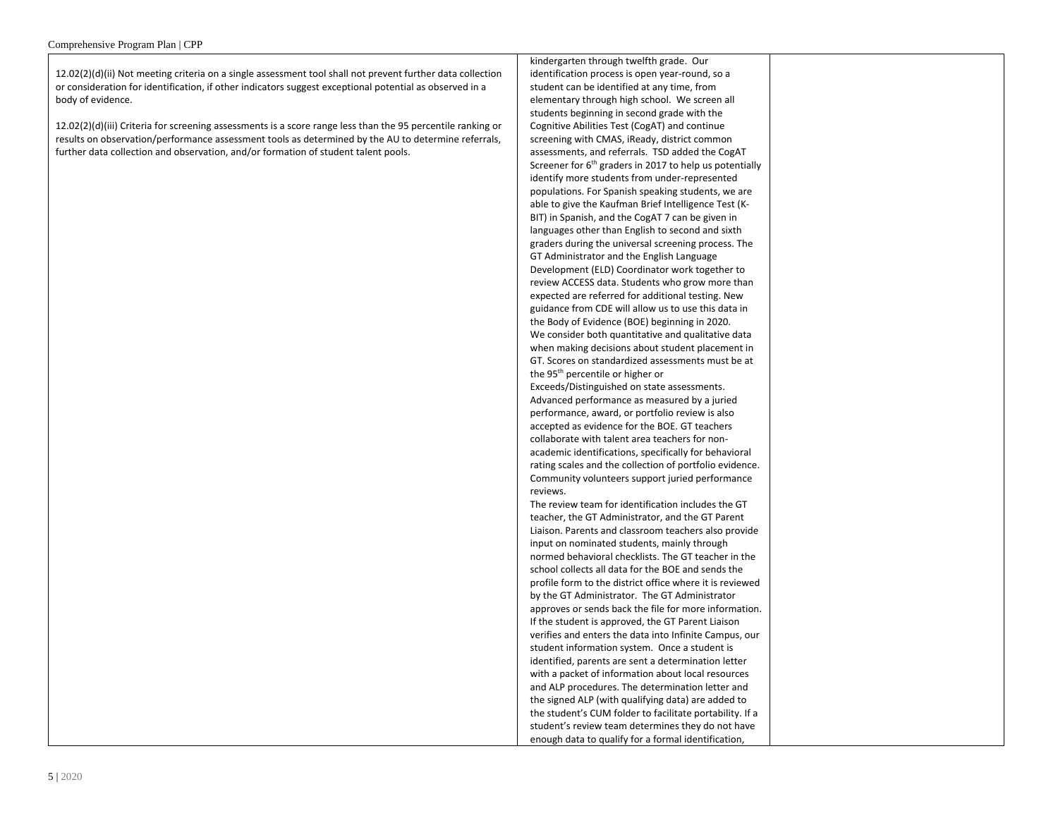12.02(2)(d)(ii) Not meeting criteria on a single assessment tool shall not prevent further data collection or consideration for identification, if other indicators suggest exceptional potential as observed in a body of evidence.

12.02(2)(d)(iii) Criteria for screening assessments is a score range less than the 95 percentile ranking or results on observation/performance assessment tools as determined by the AU to determine referrals, further data collection and observation, and/or formation of student talent pools.

kindergarten through twelfth grade. Our identification process is open year-round, so a student can be identified at any time, from elementary through high school. We screen all students beginning in second grade with the Cognitive Abilities Test (CogAT) and continue screening with CMAS, iReady, district common assessments, and referrals. TSD added the CogAT Screener for  $6<sup>th</sup>$  graders in 2017 to help us potentially identify more students from under-represented populations. For Spanish speaking students, we are able to give the Kaufman Brief Intelligence Test (K-BIT) in Spanish, and the CogAT 7 can be given in languages other than English to second and sixth graders during the universal screening process. The GT Administrator and the English Language Development (ELD) Coordinator work together to review ACCESS data. Students who grow more than expected are referred for additional testing. New guidance from CDE will allow us to use this data in the Body of Evidence (BOE) beginning in 2020. We consider both quantitative and qualitative data when making decisions about student placement in GT. Scores on standardized assessments must be at the 95<sup>th</sup> percentile or higher or Exceeds/Distinguished on state assessments. Advanced performance as measured by a juried performance, award, or portfolio review is also accepted as evidence for the BOE. GT teachers collaborate with talent area teachers for nonacademic identifications, specifically for behavioral rating scales and the collection of portfolio evidence. Community volunteers support juried performance reviews. The review team for identification includes the GT teacher, the GT Administrator, and the GT Parent Liaison. Parents and classroom teachers also provide input on nominated students, mainly through normed behavioral checklists. The GT teacher in the school collects all data for the BOE and sends the profile form to the district office where it is reviewed by the GT Administrator. The GT Administrator approves or sends back the file for more information. If the student is approved, the GT Parent Liaison verifies and enters the data into Infinite Campus, our student information system. Once a student is identified, parents are sent a determination letter with a packet of information about local resources and ALP procedures. The determination letter and the signed ALP (with qualifying data) are added to the student's CUM folder to facilitate portability. If a student's review team determines they do not have enough data to qualify for a formal identification,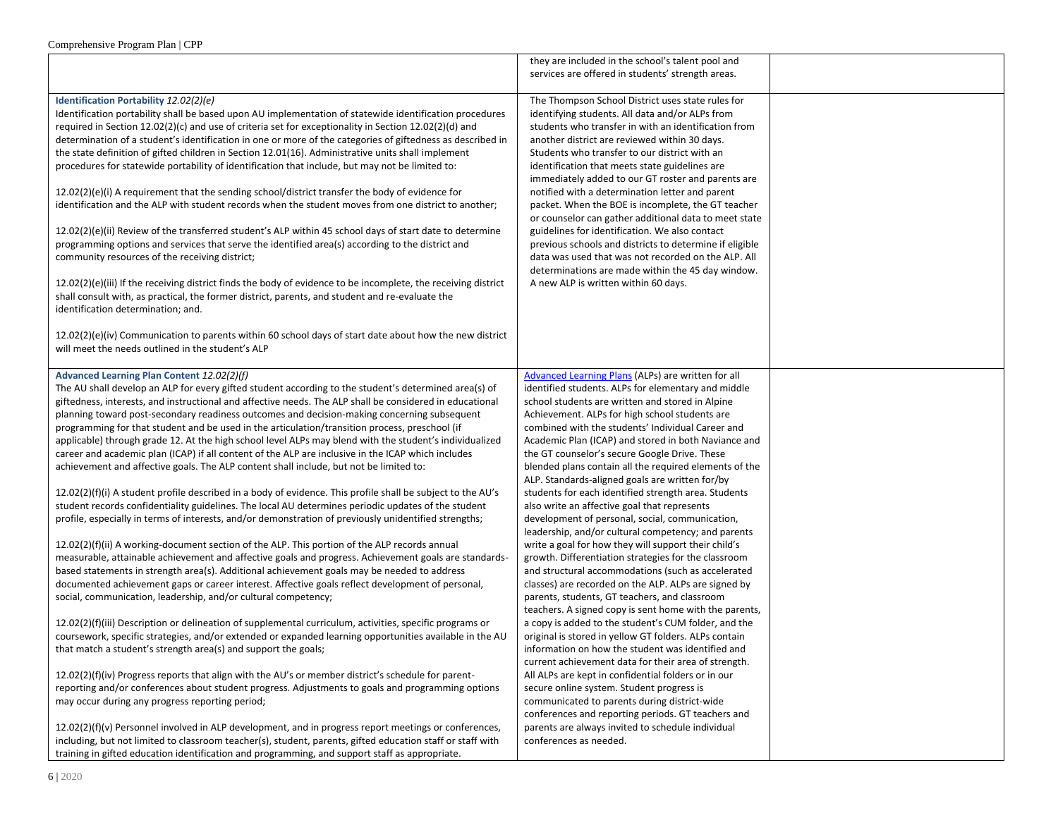|                                                                                                                                                                                                                                                                                                                                                                                                                                                                                                                                                                                                                                                                                                                                                                                              | they are included in the school's talent pool and                                                                                                                                                                                                                                                                                                                                                                                                                                                                                        |  |
|----------------------------------------------------------------------------------------------------------------------------------------------------------------------------------------------------------------------------------------------------------------------------------------------------------------------------------------------------------------------------------------------------------------------------------------------------------------------------------------------------------------------------------------------------------------------------------------------------------------------------------------------------------------------------------------------------------------------------------------------------------------------------------------------|------------------------------------------------------------------------------------------------------------------------------------------------------------------------------------------------------------------------------------------------------------------------------------------------------------------------------------------------------------------------------------------------------------------------------------------------------------------------------------------------------------------------------------------|--|
|                                                                                                                                                                                                                                                                                                                                                                                                                                                                                                                                                                                                                                                                                                                                                                                              | services are offered in students' strength areas.                                                                                                                                                                                                                                                                                                                                                                                                                                                                                        |  |
| Identification Portability 12.02(2)(e)<br>Identification portability shall be based upon AU implementation of statewide identification procedures<br>required in Section 12.02(2)(c) and use of criteria set for exceptionality in Section 12.02(2)(d) and<br>determination of a student's identification in one or more of the categories of giftedness as described in<br>the state definition of gifted children in Section 12.01(16). Administrative units shall implement<br>procedures for statewide portability of identification that include, but may not be limited to:<br>12.02(2)(e)(i) A requirement that the sending school/district transfer the body of evidence for<br>identification and the ALP with student records when the student moves from one district to another; | The Thompson School District uses state rules for<br>identifying students. All data and/or ALPs from<br>students who transfer in with an identification from<br>another district are reviewed within 30 days.<br>Students who transfer to our district with an<br>identification that meets state guidelines are<br>immediately added to our GT roster and parents are<br>notified with a determination letter and parent<br>packet. When the BOE is incomplete, the GT teacher<br>or counselor can gather additional data to meet state |  |
| 12.02(2)(e)(ii) Review of the transferred student's ALP within 45 school days of start date to determine<br>programming options and services that serve the identified area(s) according to the district and<br>community resources of the receiving district;                                                                                                                                                                                                                                                                                                                                                                                                                                                                                                                               | guidelines for identification. We also contact<br>previous schools and districts to determine if eligible<br>data was used that was not recorded on the ALP. All<br>determinations are made within the 45 day window.                                                                                                                                                                                                                                                                                                                    |  |
| $12.02(2)(e)(iii)$ If the receiving district finds the body of evidence to be incomplete, the receiving district<br>shall consult with, as practical, the former district, parents, and student and re-evaluate the<br>identification determination; and.                                                                                                                                                                                                                                                                                                                                                                                                                                                                                                                                    | A new ALP is written within 60 days.                                                                                                                                                                                                                                                                                                                                                                                                                                                                                                     |  |
| $12.02(2)(e)(iv)$ Communication to parents within 60 school days of start date about how the new district<br>will meet the needs outlined in the student's ALP                                                                                                                                                                                                                                                                                                                                                                                                                                                                                                                                                                                                                               |                                                                                                                                                                                                                                                                                                                                                                                                                                                                                                                                          |  |
| Advanced Learning Plan Content 12.02(2)(f)                                                                                                                                                                                                                                                                                                                                                                                                                                                                                                                                                                                                                                                                                                                                                   | Advanced Learning Plans (ALPs) are written for all                                                                                                                                                                                                                                                                                                                                                                                                                                                                                       |  |
| The AU shall develop an ALP for every gifted student according to the student's determined area(s) of                                                                                                                                                                                                                                                                                                                                                                                                                                                                                                                                                                                                                                                                                        | identified students. ALPs for elementary and middle                                                                                                                                                                                                                                                                                                                                                                                                                                                                                      |  |
| giftedness, interests, and instructional and affective needs. The ALP shall be considered in educational                                                                                                                                                                                                                                                                                                                                                                                                                                                                                                                                                                                                                                                                                     | school students are written and stored in Alpine                                                                                                                                                                                                                                                                                                                                                                                                                                                                                         |  |
| planning toward post-secondary readiness outcomes and decision-making concerning subsequent                                                                                                                                                                                                                                                                                                                                                                                                                                                                                                                                                                                                                                                                                                  | Achievement. ALPs for high school students are                                                                                                                                                                                                                                                                                                                                                                                                                                                                                           |  |
| programming for that student and be used in the articulation/transition process, preschool (if                                                                                                                                                                                                                                                                                                                                                                                                                                                                                                                                                                                                                                                                                               | combined with the students' Individual Career and                                                                                                                                                                                                                                                                                                                                                                                                                                                                                        |  |
| applicable) through grade 12. At the high school level ALPs may blend with the student's individualized                                                                                                                                                                                                                                                                                                                                                                                                                                                                                                                                                                                                                                                                                      | Academic Plan (ICAP) and stored in both Naviance and                                                                                                                                                                                                                                                                                                                                                                                                                                                                                     |  |
| career and academic plan (ICAP) if all content of the ALP are inclusive in the ICAP which includes                                                                                                                                                                                                                                                                                                                                                                                                                                                                                                                                                                                                                                                                                           | the GT counselor's secure Google Drive. These                                                                                                                                                                                                                                                                                                                                                                                                                                                                                            |  |
| achievement and affective goals. The ALP content shall include, but not be limited to:                                                                                                                                                                                                                                                                                                                                                                                                                                                                                                                                                                                                                                                                                                       | blended plans contain all the required elements of the                                                                                                                                                                                                                                                                                                                                                                                                                                                                                   |  |
|                                                                                                                                                                                                                                                                                                                                                                                                                                                                                                                                                                                                                                                                                                                                                                                              | ALP. Standards-aligned goals are written for/by                                                                                                                                                                                                                                                                                                                                                                                                                                                                                          |  |
| $12.02(2)(f)(i)$ A student profile described in a body of evidence. This profile shall be subject to the AU's<br>student records confidentiality guidelines. The local AU determines periodic updates of the student                                                                                                                                                                                                                                                                                                                                                                                                                                                                                                                                                                         | students for each identified strength area. Students                                                                                                                                                                                                                                                                                                                                                                                                                                                                                     |  |
| profile, especially in terms of interests, and/or demonstration of previously unidentified strengths;                                                                                                                                                                                                                                                                                                                                                                                                                                                                                                                                                                                                                                                                                        | also write an affective goal that represents<br>development of personal, social, communication,                                                                                                                                                                                                                                                                                                                                                                                                                                          |  |
|                                                                                                                                                                                                                                                                                                                                                                                                                                                                                                                                                                                                                                                                                                                                                                                              | leadership, and/or cultural competency; and parents                                                                                                                                                                                                                                                                                                                                                                                                                                                                                      |  |
| $12.02(2)(f)(ii)$ A working-document section of the ALP. This portion of the ALP records annual                                                                                                                                                                                                                                                                                                                                                                                                                                                                                                                                                                                                                                                                                              | write a goal for how they will support their child's                                                                                                                                                                                                                                                                                                                                                                                                                                                                                     |  |
| measurable, attainable achievement and affective goals and progress. Achievement goals are standards-                                                                                                                                                                                                                                                                                                                                                                                                                                                                                                                                                                                                                                                                                        | growth. Differentiation strategies for the classroom                                                                                                                                                                                                                                                                                                                                                                                                                                                                                     |  |
| based statements in strength area(s). Additional achievement goals may be needed to address                                                                                                                                                                                                                                                                                                                                                                                                                                                                                                                                                                                                                                                                                                  | and structural accommodations (such as accelerated                                                                                                                                                                                                                                                                                                                                                                                                                                                                                       |  |
| documented achievement gaps or career interest. Affective goals reflect development of personal,                                                                                                                                                                                                                                                                                                                                                                                                                                                                                                                                                                                                                                                                                             | classes) are recorded on the ALP. ALPs are signed by                                                                                                                                                                                                                                                                                                                                                                                                                                                                                     |  |
| social, communication, leadership, and/or cultural competency;                                                                                                                                                                                                                                                                                                                                                                                                                                                                                                                                                                                                                                                                                                                               | parents, students, GT teachers, and classroom<br>teachers. A signed copy is sent home with the parents,                                                                                                                                                                                                                                                                                                                                                                                                                                  |  |
| 12.02(2)(f)(iii) Description or delineation of supplemental curriculum, activities, specific programs or                                                                                                                                                                                                                                                                                                                                                                                                                                                                                                                                                                                                                                                                                     | a copy is added to the student's CUM folder, and the                                                                                                                                                                                                                                                                                                                                                                                                                                                                                     |  |
| coursework, specific strategies, and/or extended or expanded learning opportunities available in the AU                                                                                                                                                                                                                                                                                                                                                                                                                                                                                                                                                                                                                                                                                      | original is stored in yellow GT folders. ALPs contain                                                                                                                                                                                                                                                                                                                                                                                                                                                                                    |  |
| that match a student's strength area(s) and support the goals;                                                                                                                                                                                                                                                                                                                                                                                                                                                                                                                                                                                                                                                                                                                               | information on how the student was identified and<br>current achievement data for their area of strength.                                                                                                                                                                                                                                                                                                                                                                                                                                |  |
| 12.02(2)(f)(iv) Progress reports that align with the AU's or member district's schedule for parent-                                                                                                                                                                                                                                                                                                                                                                                                                                                                                                                                                                                                                                                                                          | All ALPs are kept in confidential folders or in our                                                                                                                                                                                                                                                                                                                                                                                                                                                                                      |  |
| reporting and/or conferences about student progress. Adjustments to goals and programming options                                                                                                                                                                                                                                                                                                                                                                                                                                                                                                                                                                                                                                                                                            | secure online system. Student progress is                                                                                                                                                                                                                                                                                                                                                                                                                                                                                                |  |
| may occur during any progress reporting period;                                                                                                                                                                                                                                                                                                                                                                                                                                                                                                                                                                                                                                                                                                                                              | communicated to parents during district-wide                                                                                                                                                                                                                                                                                                                                                                                                                                                                                             |  |
| 12.02(2)(f)(v) Personnel involved in ALP development, and in progress report meetings or conferences,                                                                                                                                                                                                                                                                                                                                                                                                                                                                                                                                                                                                                                                                                        | conferences and reporting periods. GT teachers and<br>parents are always invited to schedule individual                                                                                                                                                                                                                                                                                                                                                                                                                                  |  |
| including, but not limited to classroom teacher(s), student, parents, gifted education staff or staff with                                                                                                                                                                                                                                                                                                                                                                                                                                                                                                                                                                                                                                                                                   | conferences as needed.                                                                                                                                                                                                                                                                                                                                                                                                                                                                                                                   |  |
| training in gifted education identification and programming, and support staff as appropriate.                                                                                                                                                                                                                                                                                                                                                                                                                                                                                                                                                                                                                                                                                               |                                                                                                                                                                                                                                                                                                                                                                                                                                                                                                                                          |  |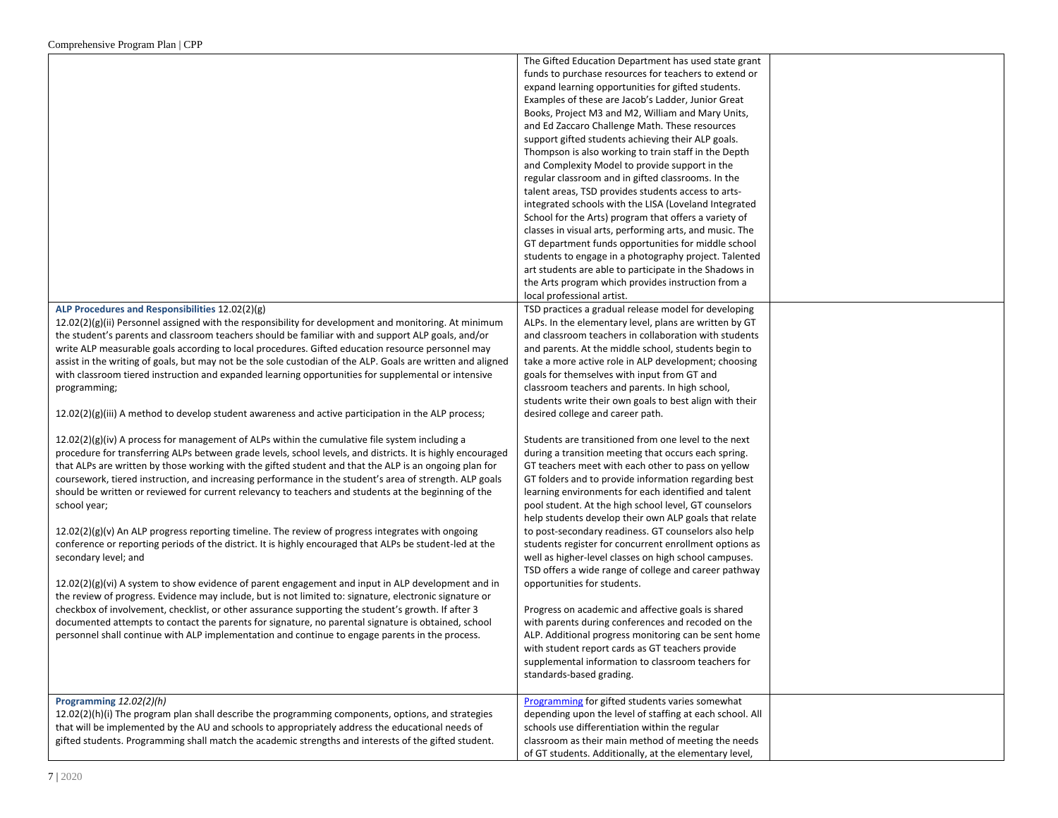|                                                                                                             | The Gifted Education Department has used state grant     |  |
|-------------------------------------------------------------------------------------------------------------|----------------------------------------------------------|--|
|                                                                                                             | funds to purchase resources for teachers to extend or    |  |
|                                                                                                             | expand learning opportunities for gifted students.       |  |
|                                                                                                             | Examples of these are Jacob's Ladder, Junior Great       |  |
|                                                                                                             | Books, Project M3 and M2, William and Mary Units,        |  |
|                                                                                                             | and Ed Zaccaro Challenge Math. These resources           |  |
|                                                                                                             | support gifted students achieving their ALP goals.       |  |
|                                                                                                             | Thompson is also working to train staff in the Depth     |  |
|                                                                                                             | and Complexity Model to provide support in the           |  |
|                                                                                                             | regular classroom and in gifted classrooms. In the       |  |
|                                                                                                             | talent areas, TSD provides students access to arts-      |  |
|                                                                                                             | integrated schools with the LISA (Loveland Integrated    |  |
|                                                                                                             | School for the Arts) program that offers a variety of    |  |
|                                                                                                             | classes in visual arts, performing arts, and music. The  |  |
|                                                                                                             | GT department funds opportunities for middle school      |  |
|                                                                                                             | students to engage in a photography project. Talented    |  |
|                                                                                                             | art students are able to participate in the Shadows in   |  |
|                                                                                                             | the Arts program which provides instruction from a       |  |
|                                                                                                             | local professional artist.                               |  |
| ALP Procedures and Responsibilities 12.02(2)(g)                                                             | TSD practices a gradual release model for developing     |  |
| $12.02(2)(g)(ii)$ Personnel assigned with the responsibility for development and monitoring. At minimum     | ALPs. In the elementary level, plans are written by GT   |  |
| the student's parents and classroom teachers should be familiar with and support ALP goals, and/or          | and classroom teachers in collaboration with students    |  |
| write ALP measurable goals according to local procedures. Gifted education resource personnel may           | and parents. At the middle school, students begin to     |  |
| assist in the writing of goals, but may not be the sole custodian of the ALP. Goals are written and aligned | take a more active role in ALP development; choosing     |  |
| with classroom tiered instruction and expanded learning opportunities for supplemental or intensive         | goals for themselves with input from GT and              |  |
| programming;                                                                                                | classroom teachers and parents. In high school,          |  |
|                                                                                                             | students write their own goals to best align with their  |  |
| $12.02(2)(g)(iii)$ A method to develop student awareness and active participation in the ALP process;       | desired college and career path.                         |  |
|                                                                                                             |                                                          |  |
| $12.02(2)(g)(iv)$ A process for management of ALPs within the cumulative file system including a            | Students are transitioned from one level to the next     |  |
| procedure for transferring ALPs between grade levels, school levels, and districts. It is highly encouraged | during a transition meeting that occurs each spring.     |  |
| that ALPs are written by those working with the gifted student and that the ALP is an ongoing plan for      | GT teachers meet with each other to pass on yellow       |  |
| coursework, tiered instruction, and increasing performance in the student's area of strength. ALP goals     | GT folders and to provide information regarding best     |  |
| should be written or reviewed for current relevancy to teachers and students at the beginning of the        | learning environments for each identified and talent     |  |
| school year;                                                                                                | pool student. At the high school level, GT counselors    |  |
|                                                                                                             | help students develop their own ALP goals that relate    |  |
| $12.02(2)(g)(v)$ An ALP progress reporting timeline. The review of progress integrates with ongoing         | to post-secondary readiness. GT counselors also help     |  |
| conference or reporting periods of the district. It is highly encouraged that ALPs be student-led at the    | students register for concurrent enrollment options as   |  |
| secondary level; and                                                                                        | well as higher-level classes on high school campuses.    |  |
|                                                                                                             | TSD offers a wide range of college and career pathway    |  |
| $12.02(2)(g)(vi)$ A system to show evidence of parent engagement and input in ALP development and in        | opportunities for students.                              |  |
| the review of progress. Evidence may include, but is not limited to: signature, electronic signature or     |                                                          |  |
| checkbox of involvement, checklist, or other assurance supporting the student's growth. If after 3          | Progress on academic and affective goals is shared       |  |
| documented attempts to contact the parents for signature, no parental signature is obtained, school         | with parents during conferences and recoded on the       |  |
| personnel shall continue with ALP implementation and continue to engage parents in the process.             | ALP. Additional progress monitoring can be sent home     |  |
|                                                                                                             | with student report cards as GT teachers provide         |  |
|                                                                                                             | supplemental information to classroom teachers for       |  |
|                                                                                                             | standards-based grading.                                 |  |
|                                                                                                             |                                                          |  |
| Programming 12.02(2)(h)                                                                                     | Programming for gifted students varies somewhat          |  |
| $12.02(2)(h)(i)$ The program plan shall describe the programming components, options, and strategies        | depending upon the level of staffing at each school. All |  |
| that will be implemented by the AU and schools to appropriately address the educational needs of            | schools use differentiation within the regular           |  |
| gifted students. Programming shall match the academic strengths and interests of the gifted student.        | classroom as their main method of meeting the needs      |  |
|                                                                                                             | of GT students. Additionally, at the elementary level,   |  |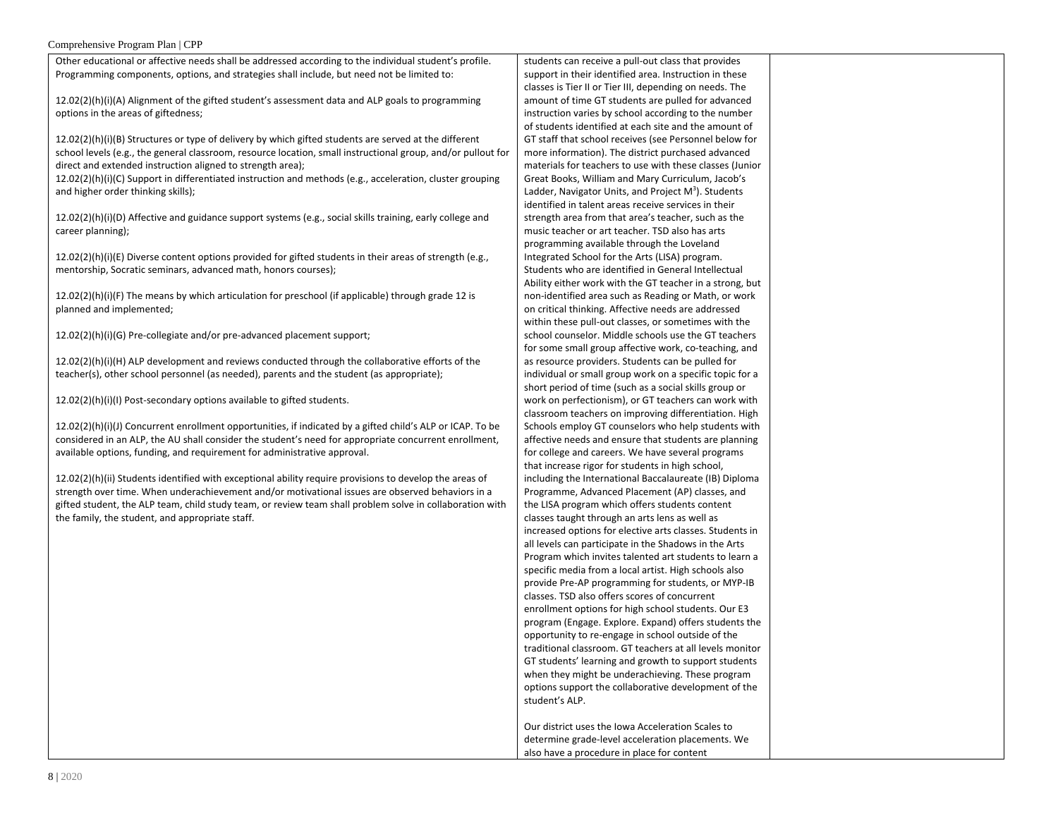| Other educational or affective needs shall be addressed according to the individual student's profile.       | students can receive a pull-out class that provides             |
|--------------------------------------------------------------------------------------------------------------|-----------------------------------------------------------------|
| Programming components, options, and strategies shall include, but need not be limited to:                   | support in their identified area. Instruction in these          |
|                                                                                                              | classes is Tier II or Tier III, depending on needs. The         |
| $12.02(2)(h)(i)(A)$ Alignment of the gifted student's assessment data and ALP goals to programming           | amount of time GT students are pulled for advanced              |
| options in the areas of giftedness;                                                                          | instruction varies by school according to the number            |
|                                                                                                              | of students identified at each site and the amount of           |
| 12.02(2)(h)(i)(B) Structures or type of delivery by which gifted students are served at the different        | GT staff that school receives (see Personnel below for          |
| school levels (e.g., the general classroom, resource location, small instructional group, and/or pullout for | more information). The district purchased advanced              |
| direct and extended instruction aligned to strength area);                                                   | materials for teachers to use with these classes (Junior        |
| 12.02(2)(h)(i)(C) Support in differentiated instruction and methods (e.g., acceleration, cluster grouping    | Great Books, William and Mary Curriculum, Jacob's               |
| and higher order thinking skills);                                                                           | Ladder, Navigator Units, and Project M <sup>3</sup> ). Students |
|                                                                                                              | identified in talent areas receive services in their            |
| 12.02(2)(h)(i)(D) Affective and guidance support systems (e.g., social skills training, early college and    | strength area from that area's teacher, such as the             |
| career planning);                                                                                            | music teacher or art teacher. TSD also has arts                 |
|                                                                                                              | programming available through the Loveland                      |
| $12.02(2)(h)(i)(E)$ Diverse content options provided for gifted students in their areas of strength (e.g.,   | Integrated School for the Arts (LISA) program.                  |
| mentorship, Socratic seminars, advanced math, honors courses);                                               | Students who are identified in General Intellectual             |
|                                                                                                              | Ability either work with the GT teacher in a strong, but        |
| $12.02(2)(h)(i)(F)$ The means by which articulation for preschool (if applicable) through grade 12 is        | non-identified area such as Reading or Math, or work            |
| planned and implemented;                                                                                     | on critical thinking. Affective needs are addressed             |
|                                                                                                              | within these pull-out classes, or sometimes with the            |
| 12.02(2)(h)(i)(G) Pre-collegiate and/or pre-advanced placement support;                                      | school counselor. Middle schools use the GT teachers            |
|                                                                                                              | for some small group affective work, co-teaching, and           |
| $12.02(2)(h)(i)(H)$ ALP development and reviews conducted through the collaborative efforts of the           | as resource providers. Students can be pulled for               |
| teacher(s), other school personnel (as needed), parents and the student (as appropriate);                    | individual or small group work on a specific topic for a        |
|                                                                                                              | short period of time (such as a social skills group or          |
| 12.02(2)(h)(i)(l) Post-secondary options available to gifted students.                                       | work on perfectionism), or GT teachers can work with            |
|                                                                                                              | classroom teachers on improving differentiation. High           |
| 12.02(2)(h)(i)(J) Concurrent enrollment opportunities, if indicated by a gifted child's ALP or ICAP. To be   | Schools employ GT counselors who help students with             |
| considered in an ALP, the AU shall consider the student's need for appropriate concurrent enrollment,        | affective needs and ensure that students are planning           |
| available options, funding, and requirement for administrative approval.                                     | for college and careers. We have several programs               |
|                                                                                                              | that increase rigor for students in high school,                |
| $12.02(2)(h)(ii)$ Students identified with exceptional ability require provisions to develop the areas of    | including the International Baccalaureate (IB) Diploma          |
| strength over time. When underachievement and/or motivational issues are observed behaviors in a             | Programme, Advanced Placement (AP) classes, and                 |
| gifted student, the ALP team, child study team, or review team shall problem solve in collaboration with     | the LISA program which offers students content                  |
| the family, the student, and appropriate staff.                                                              | classes taught through an arts lens as well as                  |
|                                                                                                              | increased options for elective arts classes. Students in        |
|                                                                                                              | all levels can participate in the Shadows in the Arts           |
|                                                                                                              | Program which invites talented art students to learn a          |
|                                                                                                              | specific media from a local artist. High schools also           |
|                                                                                                              | provide Pre-AP programming for students, or MYP-IB              |
|                                                                                                              | classes. TSD also offers scores of concurrent                   |
|                                                                                                              | enrollment options for high school students. Our E3             |
|                                                                                                              | program (Engage. Explore. Expand) offers students the           |
|                                                                                                              | opportunity to re-engage in school outside of the               |
|                                                                                                              | traditional classroom. GT teachers at all levels monitor        |
|                                                                                                              | GT students' learning and growth to support students            |
|                                                                                                              | when they might be underachieving. These program                |
|                                                                                                              | options support the collaborative development of the            |
|                                                                                                              | student's ALP.                                                  |
|                                                                                                              |                                                                 |
|                                                                                                              | Our district uses the Jowa Acceleration Scales to               |
|                                                                                                              | determine grade-level acceleration placements. We               |
|                                                                                                              | also have a procedure in place for content                      |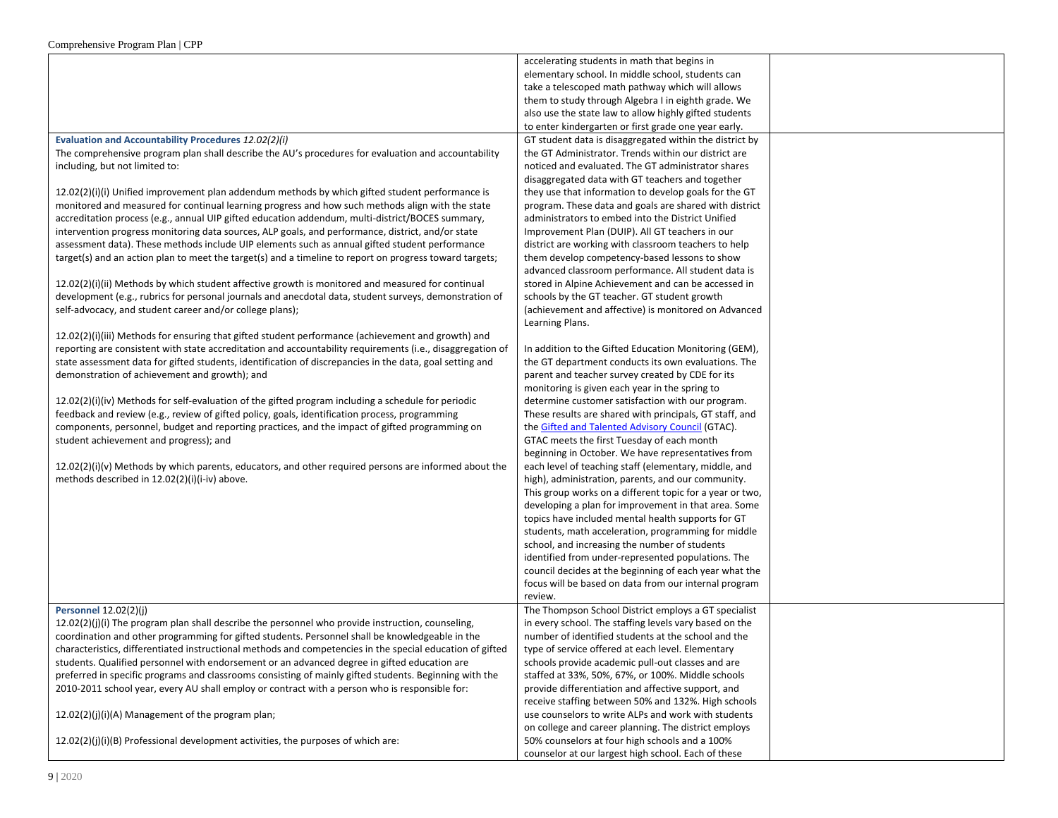|                                                                                                            | accelerating students in math that begins in             |  |
|------------------------------------------------------------------------------------------------------------|----------------------------------------------------------|--|
|                                                                                                            | elementary school. In middle school, students can        |  |
|                                                                                                            | take a telescoped math pathway which will allows         |  |
|                                                                                                            |                                                          |  |
|                                                                                                            | them to study through Algebra I in eighth grade. We      |  |
|                                                                                                            | also use the state law to allow highly gifted students   |  |
|                                                                                                            | to enter kindergarten or first grade one year early.     |  |
| Evaluation and Accountability Procedures 12.02(2)(i)                                                       | GT student data is disaggregated within the district by  |  |
| The comprehensive program plan shall describe the AU's procedures for evaluation and accountability        | the GT Administrator. Trends within our district are     |  |
| including, but not limited to:                                                                             | noticed and evaluated. The GT administrator shares       |  |
|                                                                                                            | disaggregated data with GT teachers and together         |  |
| 12.02(2)(i)(i) Unified improvement plan addendum methods by which gifted student performance is            | they use that information to develop goals for the GT    |  |
| monitored and measured for continual learning progress and how such methods align with the state           | program. These data and goals are shared with district   |  |
| accreditation process (e.g., annual UIP gifted education addendum, multi-district/BOCES summary,           | administrators to embed into the District Unified        |  |
| intervention progress monitoring data sources, ALP goals, and performance, district, and/or state          | Improvement Plan (DUIP). All GT teachers in our          |  |
| assessment data). These methods include UIP elements such as annual gifted student performance             | district are working with classroom teachers to help     |  |
| target(s) and an action plan to meet the target(s) and a timeline to report on progress toward targets;    | them develop competency-based lessons to show            |  |
|                                                                                                            | advanced classroom performance. All student data is      |  |
| $12.02(2)(i)(ii)$ Methods by which student affective growth is monitored and measured for continual        | stored in Alpine Achievement and can be accessed in      |  |
| development (e.g., rubrics for personal journals and anecdotal data, student surveys, demonstration of     | schools by the GT teacher. GT student growth             |  |
| self-advocacy, and student career and/or college plans);                                                   | (achievement and affective) is monitored on Advanced     |  |
|                                                                                                            | Learning Plans.                                          |  |
| 12.02(2)(i)(iii) Methods for ensuring that gifted student performance (achievement and growth) and         |                                                          |  |
| reporting are consistent with state accreditation and accountability requirements (i.e., disaggregation of | In addition to the Gifted Education Monitoring (GEM),    |  |
|                                                                                                            |                                                          |  |
| state assessment data for gifted students, identification of discrepancies in the data, goal setting and   | the GT department conducts its own evaluations. The      |  |
| demonstration of achievement and growth); and                                                              | parent and teacher survey created by CDE for its         |  |
|                                                                                                            | monitoring is given each year in the spring to           |  |
| $12.02(2)(i)(iv)$ Methods for self-evaluation of the gifted program including a schedule for periodic      | determine customer satisfaction with our program.        |  |
| feedback and review (e.g., review of gifted policy, goals, identification process, programming             | These results are shared with principals, GT staff, and  |  |
| components, personnel, budget and reporting practices, and the impact of gifted programming on             | the Gifted and Talented Advisory Council (GTAC).         |  |
| student achievement and progress); and                                                                     | GTAC meets the first Tuesday of each month               |  |
|                                                                                                            | beginning in October. We have representatives from       |  |
| $12.02(2)(i)(v)$ Methods by which parents, educators, and other required persons are informed about the    | each level of teaching staff (elementary, middle, and    |  |
| methods described in 12.02(2)(i)(i-iv) above.                                                              | high), administration, parents, and our community.       |  |
|                                                                                                            | This group works on a different topic for a year or two, |  |
|                                                                                                            | developing a plan for improvement in that area. Some     |  |
|                                                                                                            | topics have included mental health supports for GT       |  |
|                                                                                                            | students, math acceleration, programming for middle      |  |
|                                                                                                            | school, and increasing the number of students            |  |
|                                                                                                            | identified from under-represented populations. The       |  |
|                                                                                                            | council decides at the beginning of each year what the   |  |
|                                                                                                            | focus will be based on data from our internal program    |  |
|                                                                                                            | review.                                                  |  |
| <b>Personnel 12.02(2)(i)</b>                                                                               | The Thompson School District employs a GT specialist     |  |
| $12.02(2)(j)(i)$ The program plan shall describe the personnel who provide instruction, counseling,        | in every school. The staffing levels vary based on the   |  |
| coordination and other programming for gifted students. Personnel shall be knowledgeable in the            | number of identified students at the school and the      |  |
| characteristics, differentiated instructional methods and competencies in the special education of gifted  | type of service offered at each level. Elementary        |  |
| students. Qualified personnel with endorsement or an advanced degree in gifted education are               | schools provide academic pull-out classes and are        |  |
| preferred in specific programs and classrooms consisting of mainly gifted students. Beginning with the     | staffed at 33%, 50%, 67%, or 100%. Middle schools        |  |
| 2010-2011 school year, every AU shall employ or contract with a person who is responsible for:             | provide differentiation and affective support, and       |  |
|                                                                                                            | receive staffing between 50% and 132%. High schools      |  |
|                                                                                                            |                                                          |  |
| 12.02(2)(i)(i)(A) Management of the program plan;                                                          | use counselors to write ALPs and work with students      |  |
|                                                                                                            | on college and career planning. The district employs     |  |
| 12.02(2)(j)(i)(B) Professional development activities, the purposes of which are:                          | 50% counselors at four high schools and a 100%           |  |
|                                                                                                            | counselor at our largest high school. Each of these      |  |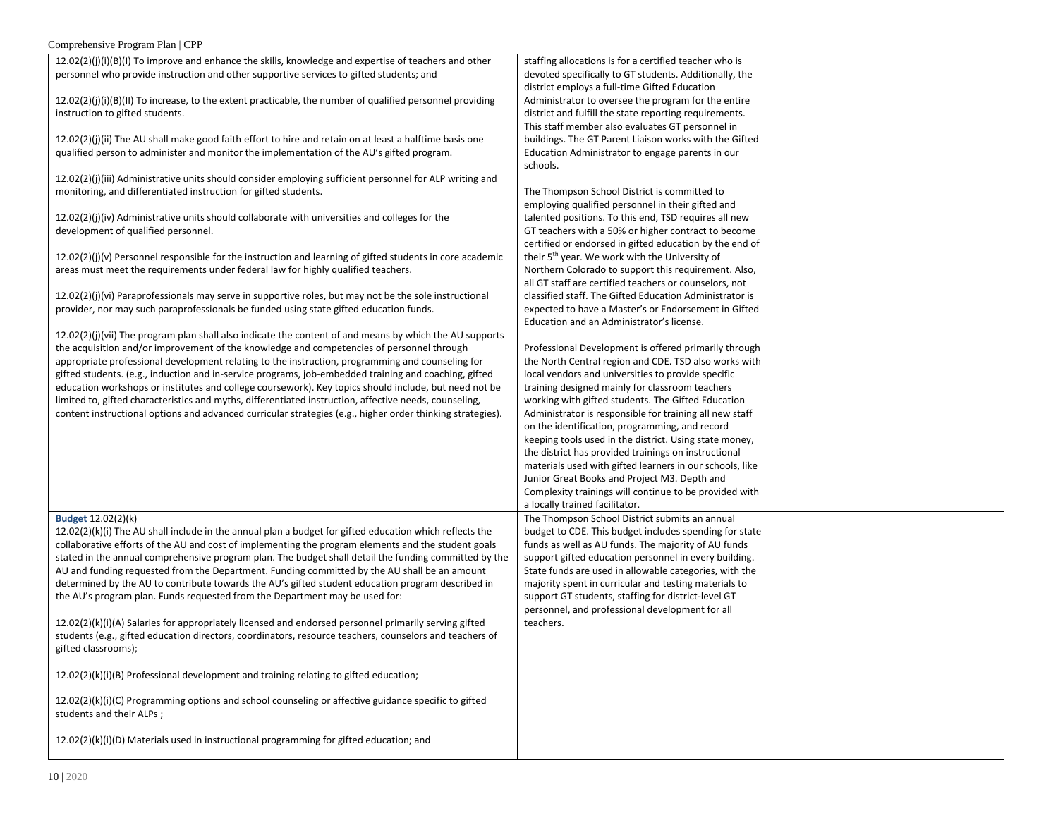| 12.02(2)(j)(i)(B)(I) To improve and enhance the skills, knowledge and expertise of teachers and other       | staffing allocations is for a certified teacher who is     |  |
|-------------------------------------------------------------------------------------------------------------|------------------------------------------------------------|--|
|                                                                                                             |                                                            |  |
| personnel who provide instruction and other supportive services to gifted students; and                     | devoted specifically to GT students. Additionally, the     |  |
|                                                                                                             | district employs a full-time Gifted Education              |  |
| $12.02(2)(j)(i)(B)(II)$ To increase, to the extent practicable, the number of qualified personnel providing | Administrator to oversee the program for the entire        |  |
| instruction to gifted students.                                                                             | district and fulfill the state reporting requirements.     |  |
|                                                                                                             | This staff member also evaluates GT personnel in           |  |
| $12.02(2)(j)(ii)$ The AU shall make good faith effort to hire and retain on at least a halftime basis one   | buildings. The GT Parent Liaison works with the Gifted     |  |
| qualified person to administer and monitor the implementation of the AU's gifted program.                   | Education Administrator to engage parents in our           |  |
|                                                                                                             | schools.                                                   |  |
| 12.02(2)(j)(iii) Administrative units should consider employing sufficient personnel for ALP writing and    |                                                            |  |
|                                                                                                             |                                                            |  |
| monitoring, and differentiated instruction for gifted students.                                             | The Thompson School District is committed to               |  |
|                                                                                                             | employing qualified personnel in their gifted and          |  |
| $12.02(2)(j)(iv)$ Administrative units should collaborate with universities and colleges for the            | talented positions. To this end, TSD requires all new      |  |
| development of qualified personnel.                                                                         | GT teachers with a 50% or higher contract to become        |  |
|                                                                                                             | certified or endorsed in gifted education by the end of    |  |
| $12.02(2)(j)(v)$ Personnel responsible for the instruction and learning of gifted students in core academic | their 5 <sup>th</sup> year. We work with the University of |  |
| areas must meet the requirements under federal law for highly qualified teachers.                           | Northern Colorado to support this requirement. Also,       |  |
|                                                                                                             | all GT staff are certified teachers or counselors, not     |  |
| 12.02(2)(j)(vi) Paraprofessionals may serve in supportive roles, but may not be the sole instructional      | classified staff. The Gifted Education Administrator is    |  |
|                                                                                                             |                                                            |  |
| provider, nor may such paraprofessionals be funded using state gifted education funds.                      | expected to have a Master's or Endorsement in Gifted       |  |
|                                                                                                             | Education and an Administrator's license.                  |  |
| 12.02(2)(j)(vii) The program plan shall also indicate the content of and means by which the AU supports     |                                                            |  |
| the acquisition and/or improvement of the knowledge and competencies of personnel through                   | Professional Development is offered primarily through      |  |
| appropriate professional development relating to the instruction, programming and counseling for            | the North Central region and CDE. TSD also works with      |  |
| gifted students. (e.g., induction and in-service programs, job-embedded training and coaching, gifted       | local vendors and universities to provide specific         |  |
| education workshops or institutes and college coursework). Key topics should include, but need not be       | training designed mainly for classroom teachers            |  |
| limited to, gifted characteristics and myths, differentiated instruction, affective needs, counseling,      | working with gifted students. The Gifted Education         |  |
|                                                                                                             |                                                            |  |
| content instructional options and advanced curricular strategies (e.g., higher order thinking strategies).  | Administrator is responsible for training all new staff    |  |
|                                                                                                             | on the identification, programming, and record             |  |
|                                                                                                             | keeping tools used in the district. Using state money,     |  |
|                                                                                                             | the district has provided trainings on instructional       |  |
|                                                                                                             | materials used with gifted learners in our schools, like   |  |
|                                                                                                             | Junior Great Books and Project M3. Depth and               |  |
|                                                                                                             | Complexity trainings will continue to be provided with     |  |
|                                                                                                             | a locally trained facilitator.                             |  |
| Budget 12.02(2)(k)                                                                                          | The Thompson School District submits an annual             |  |
|                                                                                                             |                                                            |  |
| $12.02(2)(k)(i)$ The AU shall include in the annual plan a budget for gifted education which reflects the   | budget to CDE. This budget includes spending for state     |  |
| collaborative efforts of the AU and cost of implementing the program elements and the student goals         | funds as well as AU funds. The majority of AU funds        |  |
| stated in the annual comprehensive program plan. The budget shall detail the funding committed by the       | support gifted education personnel in every building.      |  |
| AU and funding requested from the Department. Funding committed by the AU shall be an amount                | State funds are used in allowable categories, with the     |  |
| determined by the AU to contribute towards the AU's gifted student education program described in           | majority spent in curricular and testing materials to      |  |
| the AU's program plan. Funds requested from the Department may be used for:                                 | support GT students, staffing for district-level GT        |  |
|                                                                                                             | personnel, and professional development for all            |  |
| 12.02(2)(k)(i)(A) Salaries for appropriately licensed and endorsed personnel primarily serving gifted       | teachers.                                                  |  |
| students (e.g., gifted education directors, coordinators, resource teachers, counselors and teachers of     |                                                            |  |
|                                                                                                             |                                                            |  |
| gifted classrooms);                                                                                         |                                                            |  |
|                                                                                                             |                                                            |  |
| $12.02(2)(k)(i)(B)$ Professional development and training relating to gifted education;                     |                                                            |  |
|                                                                                                             |                                                            |  |
| $12.02(2)(k)(i)(C)$ Programming options and school counseling or affective guidance specific to gifted      |                                                            |  |
| students and their ALPs;                                                                                    |                                                            |  |
|                                                                                                             |                                                            |  |
| $12.02(2)(k)(i)(D)$ Materials used in instructional programming for gifted education; and                   |                                                            |  |
|                                                                                                             |                                                            |  |
|                                                                                                             |                                                            |  |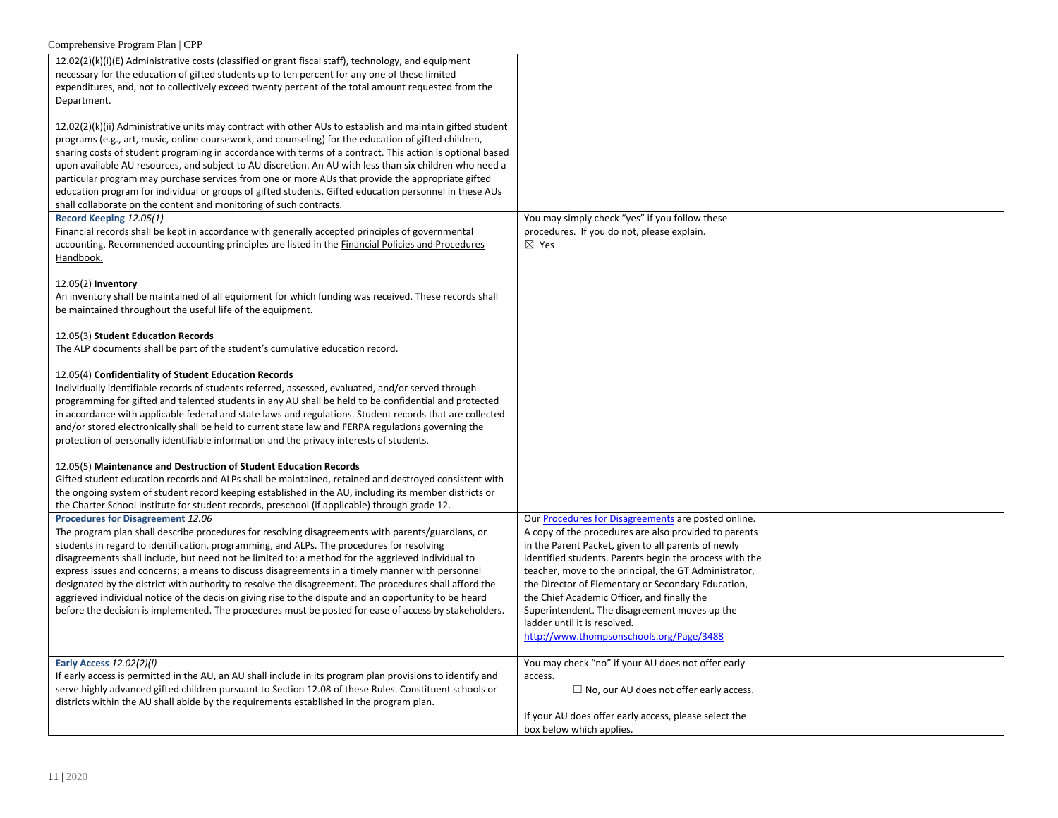| 12.02(2)(k)(i)(E) Administrative costs (classified or grant fiscal staff), technology, and equipment<br>necessary for the education of gifted students up to ten percent for any one of these limited<br>expenditures, and, not to collectively exceed twenty percent of the total amount requested from the<br>Department.                                                                                                                                                                                                                                                                                                                                                                                                                                             |                                                                                                                                                                                                                                                                                                                                                                                                                                                                                                                           |  |
|-------------------------------------------------------------------------------------------------------------------------------------------------------------------------------------------------------------------------------------------------------------------------------------------------------------------------------------------------------------------------------------------------------------------------------------------------------------------------------------------------------------------------------------------------------------------------------------------------------------------------------------------------------------------------------------------------------------------------------------------------------------------------|---------------------------------------------------------------------------------------------------------------------------------------------------------------------------------------------------------------------------------------------------------------------------------------------------------------------------------------------------------------------------------------------------------------------------------------------------------------------------------------------------------------------------|--|
| 12.02(2)(k)(ii) Administrative units may contract with other AUs to establish and maintain gifted student<br>programs (e.g., art, music, online coursework, and counseling) for the education of gifted children,<br>sharing costs of student programing in accordance with terms of a contract. This action is optional based<br>upon available AU resources, and subject to AU discretion. An AU with less than six children who need a<br>particular program may purchase services from one or more AUs that provide the appropriate gifted<br>education program for individual or groups of gifted students. Gifted education personnel in these AUs<br>shall collaborate on the content and monitoring of such contracts.                                          |                                                                                                                                                                                                                                                                                                                                                                                                                                                                                                                           |  |
|                                                                                                                                                                                                                                                                                                                                                                                                                                                                                                                                                                                                                                                                                                                                                                         |                                                                                                                                                                                                                                                                                                                                                                                                                                                                                                                           |  |
| Record Keeping 12.05(1)<br>Financial records shall be kept in accordance with generally accepted principles of governmental<br>accounting. Recommended accounting principles are listed in the <b>Financial Policies and Procedures</b><br>Handbook.                                                                                                                                                                                                                                                                                                                                                                                                                                                                                                                    | You may simply check "yes" if you follow these<br>procedures. If you do not, please explain.<br>$\boxtimes$ Yes                                                                                                                                                                                                                                                                                                                                                                                                           |  |
| 12.05(2) Inventory<br>An inventory shall be maintained of all equipment for which funding was received. These records shall<br>be maintained throughout the useful life of the equipment.                                                                                                                                                                                                                                                                                                                                                                                                                                                                                                                                                                               |                                                                                                                                                                                                                                                                                                                                                                                                                                                                                                                           |  |
| 12.05(3) Student Education Records<br>The ALP documents shall be part of the student's cumulative education record.                                                                                                                                                                                                                                                                                                                                                                                                                                                                                                                                                                                                                                                     |                                                                                                                                                                                                                                                                                                                                                                                                                                                                                                                           |  |
| 12.05(4) Confidentiality of Student Education Records<br>Individually identifiable records of students referred, assessed, evaluated, and/or served through<br>programming for gifted and talented students in any AU shall be held to be confidential and protected<br>in accordance with applicable federal and state laws and regulations. Student records that are collected<br>and/or stored electronically shall be held to current state law and FERPA regulations governing the<br>protection of personally identifiable information and the privacy interests of students.                                                                                                                                                                                     |                                                                                                                                                                                                                                                                                                                                                                                                                                                                                                                           |  |
| 12.05(5) Maintenance and Destruction of Student Education Records<br>Gifted student education records and ALPs shall be maintained, retained and destroyed consistent with<br>the ongoing system of student record keeping established in the AU, including its member districts or<br>the Charter School Institute for student records, preschool (if applicable) through grade 12.                                                                                                                                                                                                                                                                                                                                                                                    |                                                                                                                                                                                                                                                                                                                                                                                                                                                                                                                           |  |
| Procedures for Disagreement 12.06<br>The program plan shall describe procedures for resolving disagreements with parents/guardians, or<br>students in regard to identification, programming, and ALPs. The procedures for resolving<br>disagreements shall include, but need not be limited to: a method for the aggrieved individual to<br>express issues and concerns; a means to discuss disagreements in a timely manner with personnel<br>designated by the district with authority to resolve the disagreement. The procedures shall afford the<br>aggrieved individual notice of the decision giving rise to the dispute and an opportunity to be heard<br>before the decision is implemented. The procedures must be posted for ease of access by stakeholders. | Our Procedures for Disagreements are posted online.<br>A copy of the procedures are also provided to parents<br>in the Parent Packet, given to all parents of newly<br>identified students. Parents begin the process with the<br>teacher, move to the principal, the GT Administrator,<br>the Director of Elementary or Secondary Education,<br>the Chief Academic Officer, and finally the<br>Superintendent. The disagreement moves up the<br>ladder until it is resolved.<br>http://www.thompsonschools.org/Page/3488 |  |
| Early Access 12.02(2)(I)<br>If early access is permitted in the AU, an AU shall include in its program plan provisions to identify and<br>serve highly advanced gifted children pursuant to Section 12.08 of these Rules. Constituent schools or<br>districts within the AU shall abide by the requirements established in the program plan.                                                                                                                                                                                                                                                                                                                                                                                                                            | You may check "no" if your AU does not offer early<br>access.<br>$\Box$ No, our AU does not offer early access.<br>If your AU does offer early access, please select the<br>box below which applies.                                                                                                                                                                                                                                                                                                                      |  |